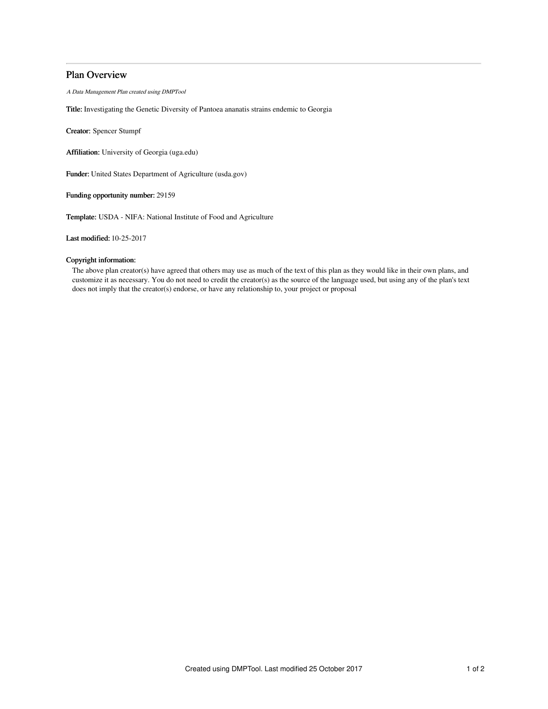# Plan Overview

A Data Management Plan created using DMPTool

Title: Investigating the Genetic Diversity of Pantoea ananatis strains endemic to Georgia

Creator: Spencer Stumpf

Affiliation: University of Georgia (uga.edu)

Funder: United States Department of Agriculture (usda.gov)

Funding opportunity number: 29159

Template: USDA - NIFA: National Institute of Food and Agriculture

Last modified: 10-25-2017

# Copyright information:

The above plan creator(s) have agreed that others may use as much of the text of this plan as they would like in their own plans, and customize it as necessary. You do not need to credit the creator(s) as the source of the language used, but using any of the plan's text does not imply that the creator(s) endorse, or have any relationship to, your project or proposal